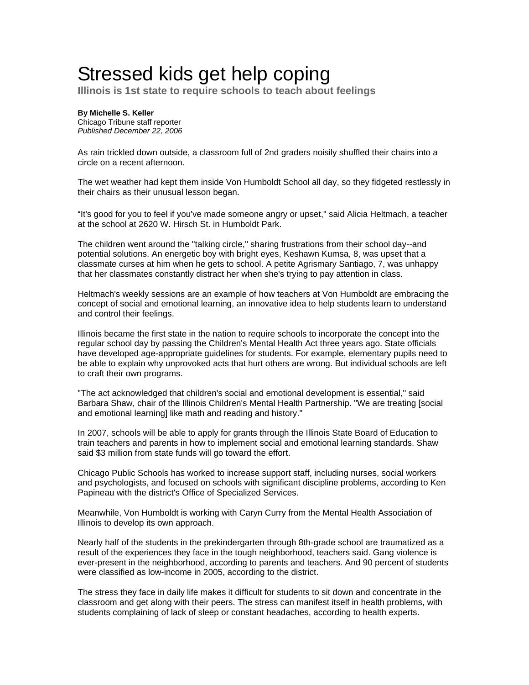## Stressed kids get help coping

**Illinois is 1st state to require schools to teach about feelings**

## **By Michelle S. Keller**  Chicago Tribune staff reporter *Published December 22, 2006*

As rain trickled down outside, a classroom full of 2nd graders noisily shuffled their chairs into a circle on a recent afternoon.

The wet weather had kept them inside Von Humboldt School all day, so they fidgeted restlessly in their chairs as their unusual lesson began.

"It's good for you to feel if you've made someone angry or upset," said Alicia Heltmach, a teacher at the school at 2620 W. Hirsch St. in Humboldt Park.

The children went around the "talking circle," sharing frustrations from their school day--and potential solutions. An energetic boy with bright eyes, Keshawn Kumsa, 8, was upset that a classmate curses at him when he gets to school. A petite Agrismary Santiago, 7, was unhappy that her classmates constantly distract her when she's trying to pay attention in class.

Heltmach's weekly sessions are an example of how teachers at Von Humboldt are embracing the concept of social and emotional learning, an innovative idea to help students learn to understand and control their feelings.

Illinois became the first state in the nation to require schools to incorporate the concept into the regular school day by passing the Children's Mental Health Act three years ago. State officials have developed age-appropriate guidelines for students. For example, elementary pupils need to be able to explain why unprovoked acts that hurt others are wrong. But individual schools are left to craft their own programs.

"The act acknowledged that children's social and emotional development is essential," said Barbara Shaw, chair of the Illinois Children's Mental Health Partnership. "We are treating [social and emotional learning] like math and reading and history."

In 2007, schools will be able to apply for grants through the Illinois State Board of Education to train teachers and parents in how to implement social and emotional learning standards. Shaw said \$3 million from state funds will go toward the effort.

Chicago Public Schools has worked to increase support staff, including nurses, social workers and psychologists, and focused on schools with significant discipline problems, according to Ken Papineau with the district's Office of Specialized Services.

Meanwhile, Von Humboldt is working with Caryn Curry from the Mental Health Association of Illinois to develop its own approach.

Nearly half of the students in the prekindergarten through 8th-grade school are traumatized as a result of the experiences they face in the tough neighborhood, teachers said. Gang violence is ever-present in the neighborhood, according to parents and teachers. And 90 percent of students were classified as low-income in 2005, according to the district.

The stress they face in daily life makes it difficult for students to sit down and concentrate in the classroom and get along with their peers. The stress can manifest itself in health problems, with students complaining of lack of sleep or constant headaches, according to health experts.